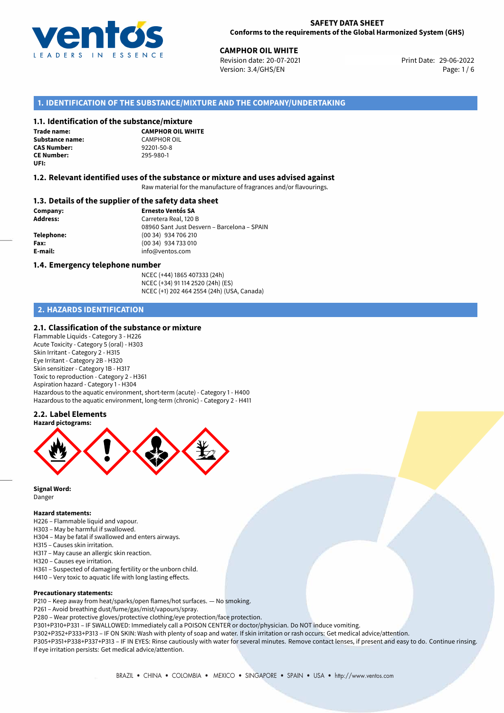

29-06-2022 **CAMPHOR OIL WHITE** Revision date: 20-07-2021 Print Date: Version: 3.4/GHS/EN Page: 1 / 6

## **1. IDENTIFICATION OF THE SUBSTANCE/MIXTURE AND THE COMPANY/UNDERTAKING**

#### **1.1. Identification of the substance/mixture**

**Trade name: Substance name:** CAMPHOR OIL<br> **CAS Number:** 92201-50-8 **CAS Number:** 92201-50-8 **CE Number:** 295-980-1 **UFI:**

**CAMPHOR OIL WHITE**

## **1.2. Relevant identified uses of the substance or mixture and uses advised against**

Raw material for the manufacture of fragrances and/or flavourings.

#### **1.3. Details of the supplier of the safety data sheet**

**Company: Ernesto Ventós SA Address:** Carretera Real, 120 B 08960 Sant Just Desvern – Barcelona – SPAIN **Telephone:** (00 34) 934 706 210 **Fax:** (00 34) 934 733 010 **E-mail:** info@ventos.com

#### **1.4. Emergency telephone number**

NCEC (+44) 1865 407333 (24h) NCEC (+34) 91 114 2520 (24h) (ES) NCEC (+1) 202 464 2554 (24h) (USA, Canada)

## **2. HAZARDS IDENTIFICATION**

## **2.1. Classification of the substance or mixture**

Flammable Liquids - Category 3 - H226 Acute Toxicity - Category 5 (oral) - H303 Skin Irritant - Category 2 - H315 Eye Irritant - Category 2B - H320 Skin sensitizer - Category 1B - H317 Toxic to reproduction - Category 2 - H361 Aspiration hazard - Category 1 - H304 Hazardous to the aquatic environment, short-term (acute) - Category 1 - H400 Hazardous to the aquatic environment, long-term (chronic) - Category 2 - H411

## **2.2. Label Elements**



**Signal Word:** Danger

#### **Hazard statements:**

- H226 Flammable liquid and vapour.
- H303 May be harmful if swallowed.
- H304 May be fatal if swallowed and enters airways.
- H315 Causes skin irritation.
- H317 May cause an allergic skin reaction.
- H320 Causes eye irritation.
- H361 Suspected of damaging fertility or the unborn child.
- H410 Very toxic to aquatic life with long lasting effects.

## **Precautionary statements:**

P210 – Keep away from heat/sparks/open flames/hot surfaces. — No smoking.

- P261 Avoid breathing dust/fume/gas/mist/vapours/spray.
- P280 Wear protective gloves/protective clothing/eye protection/face protection.

P301+P310+P331 – IF SWALLOWED: Immediately call a POISON CENTER or doctor/physician. Do NOT induce vomiting.

P302+P352+P333+P313 – IF ON SKIN: Wash with plenty of soap and water. If skin irritation or rash occurs: Get medical advice/attention. P305+P351+P338+P337+P313 – IF IN EYES: Rinse cautiously with water for several minutes. Remove contact lenses, if present and easy to do. Continue rinsing. If eye irritation persists: Get medical advice/attention.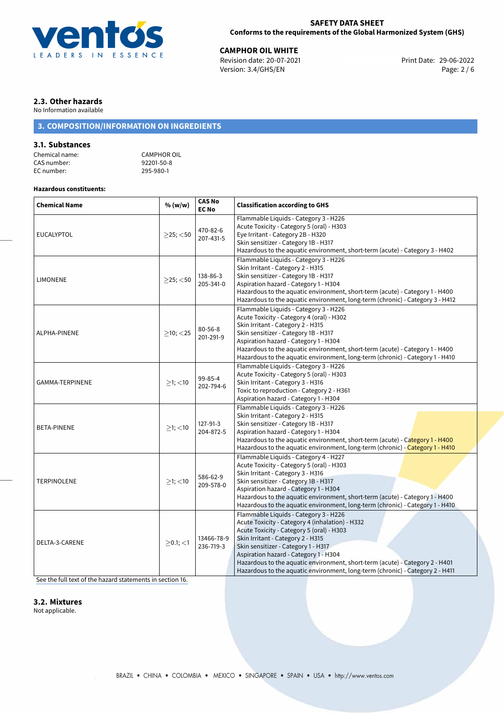

29-06-2022 **CAMPHOR OIL WHITE** Revision date: 20-07-2021 Print Date: Version: 3.4/GHS/EN Page: 2 / 6

## **2.3. Other hazards**

No Information available

## **3. COMPOSITION/INFORMATION ON INGREDIENTS**

## **3.1. Substances**

Chemical name:<br>
CAS number: 
CAS number:<br>
92201-50-8 CAS number: 92201-50-80-1<br>EC number: 295-980-1 EC number:

## **Hazardous constituents:**

| <b>Chemical Name</b> | % (w/w)        | <b>CAS No</b><br><b>EC No</b> | <b>Classification according to GHS</b>                                                                                                                                                                                                                                                                                                                                                                                      |  |  |  |  |
|----------------------|----------------|-------------------------------|-----------------------------------------------------------------------------------------------------------------------------------------------------------------------------------------------------------------------------------------------------------------------------------------------------------------------------------------------------------------------------------------------------------------------------|--|--|--|--|
| <b>EUCALYPTOL</b>    | $>$ 25; $<$ 50 | 470-82-6<br>207-431-5         | Flammable Liquids - Category 3 - H226<br>Acute Toxicity - Category 5 (oral) - H303<br>Eye Irritant - Category 2B - H320<br>Skin sensitizer - Category 1B - H317<br>Hazardous to the aquatic environment, short-term (acute) - Category 3 - H402                                                                                                                                                                             |  |  |  |  |
| <b>LIMONENE</b>      | $>25$ ; <50    | 138-86-3<br>205-341-0         | Flammable Liquids - Category 3 - H226<br>Skin Irritant - Category 2 - H315<br>Skin sensitizer - Category 1B - H317<br>Aspiration hazard - Category 1 - H304<br>Hazardous to the aquatic environment, short-term (acute) - Category 1 - H400<br>Hazardous to the aquatic environment, long-term (chronic) - Category 3 - H412                                                                                                |  |  |  |  |
| ALPHA-PINENE         | $>10$ ; $<$ 25 | $80 - 56 - 8$<br>201-291-9    | Flammable Liquids - Category 3 - H226<br>Acute Toxicity - Category 4 (oral) - H302<br>Skin Irritant - Category 2 - H315<br>Skin sensitizer - Category 1B - H317<br>Aspiration hazard - Category 1 - H304<br>Hazardous to the aquatic environment, short-term (acute) - Category 1 - H400<br>Hazardous to the aquatic environment, long-term (chronic) - Category 1 - H410                                                   |  |  |  |  |
| GAMMA-TERPINENE      | $>1$ ; $<$ 10  | 99-85-4<br>202-794-6          | Flammable Liquids - Category 3 - H226<br>Acute Toxicity - Category 5 (oral) - H303<br>Skin Irritant - Category 3 - H316<br>Toxic to reproduction - Category 2 - H361<br>Aspiration hazard - Category 1 - H304                                                                                                                                                                                                               |  |  |  |  |
| BETA-PINENE          | $\geq$ 1; <10  | 127-91-3<br>204-872-5         | Flammable Liquids - Category 3 - H226<br>Skin Irritant - Category 2 - H315<br>Skin sensitizer - Category 1B - H317<br>Aspiration hazard - Category 1 - H304<br>Hazardous to the aquatic environment, short-term (acute) - Category 1 - H400<br>Hazardous to the aquatic environment, long-term (chronic) - Category 1 - H410                                                                                                |  |  |  |  |
| <b>TERPINOLENE</b>   | $>1$ ; $<$ 10  | 586-62-9<br>209-578-0         | Flammable Liquids - Category 4 - H227<br>Acute Toxicity - Category 5 (oral) - H303<br>Skin Irritant - Category 3 - H316<br>Skin sensitizer - Category 1B - H317<br>Aspiration hazard - Category 1 - H304<br>Hazardous to the aquatic environment, short-term (acute) - Category 1 - H400<br>Hazardous to the aquatic environment, long-term (chronic) - Category 1 - H410                                                   |  |  |  |  |
| DELTA-3-CARENE       | $>0.1$ ; $<$ 1 | 13466-78-9<br>236-719-3       | Flammable Liquids - Category 3 - H226<br>Acute Toxicity - Category 4 (inhalation) - H332<br>Acute Toxicity - Category 5 (oral) - H303<br>Skin Irritant - Category 2 - H315<br>Skin sensitizer - Category 1 - H317<br>Aspiration hazard - Category 1 - H304<br>Hazardous to the aquatic environment, short-term (acute) - Category 2 - H401<br>Hazardous to the aquatic environment, long-term (chronic) - Category 2 - H411 |  |  |  |  |

[See the full text of the hazard statements in section 16.](#page-5-0)

## **3.2. Mixtures**

Not applicable.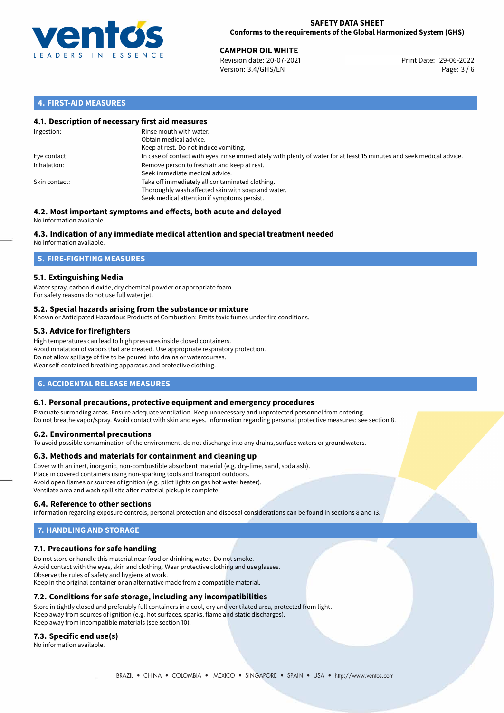

## **SAFETY DATA SHEET Conforms to the requirements of the Global Harmonized System (GHS)**

29-06-2022 **CAMPHOR OIL WHITE** Revision date: 20-07-2021 Print Date: Version: 3.4/GHS/EN Page: 3 / 6

## **4. FIRST-AID MEASURES**

## **4.1. Description of necessary first aid measures**

| Ingestion:    | Rinse mouth with water.<br>Obtain medical advice.<br>Keep at rest. Do not induce vomiting.                                                           |
|---------------|------------------------------------------------------------------------------------------------------------------------------------------------------|
| Eye contact:  | In case of contact with eyes, rinse immediately with plenty of water for at least 15 minutes and seek medical advice.                                |
| Inhalation:   | Remove person to fresh air and keep at rest.<br>Seek immediate medical advice.                                                                       |
| Skin contact: | Take off immediately all contaminated clothing.<br>Thoroughly wash affected skin with soap and water.<br>Seek medical attention if symptoms persist. |

#### **4.2. Most important symptoms and effects, both acute and delayed** No information available.

# **4.3. Indication of any immediate medical attention and special treatment needed**

No information available.

## **5. FIRE-FIGHTING MEASURES**

## **5.1. Extinguishing Media**

Water spray, carbon dioxide, dry chemical powder or appropriate foam. For safety reasons do not use full water jet.

## **5.2. Special hazards arising from the substance or mixture**

Known or Anticipated Hazardous Products of Combustion: Emits toxic fumes under fire conditions.

## **5.3. Advice for firefighters**

High temperatures can lead to high pressures inside closed containers. Avoid inhalation of vapors that are created. Use appropriate respiratory protection. Do not allow spillage of fire to be poured into drains or watercourses. Wear self-contained breathing apparatus and protective clothing.

## **6. ACCIDENTAL RELEASE MEASURES**

## **6.1. Personal precautions, protective equipment and emergency procedures**

Evacuate surronding areas. Ensure adequate ventilation. Keep unnecessary and unprotected personnel from entering. Do not breathe vapor/spray. Avoid contact with skin and eyes. Information regarding personal protective measures: see section 8.

## **6.2. Environmental precautions**

To avoid possible contamination of the environment, do not discharge into any drains, surface waters or groundwaters.

## **6.3. Methods and materials for containment and cleaning up**

Cover with an inert, inorganic, non-combustible absorbent material (e.g. dry-lime, sand, soda ash). Place in covered containers using non-sparking tools and transport outdoors. Avoid open flames or sources of ignition (e.g. pilot lights on gas hot water heater). Ventilate area and wash spill site after material pickup is complete.

## **6.4. Reference to other sections**

Information regarding exposure controls, personal protection and disposal considerations can be found in sections 8 and 13.

# **7. HANDLING AND STORAGE**

## **7.1. Precautions for safe handling**

Do not store or handle this material near food or drinking water. Do not smoke. Avoid contact with the eyes, skin and clothing. Wear protective clothing and use glasses. Observe the rules of safety and hygiene at work. Keep in the original container or an alternative made from a compatible material.

## **7.2. Conditions for safe storage, including any incompatibilities**

Store in tightly closed and preferably full containers in a cool, dry and ventilated area, protected from light. Keep away from sources of ignition (e.g. hot surfaces, sparks, flame and static discharges). Keep away from incompatible materials (see section 10).

## **7.3. Specific end use(s)**

No information available.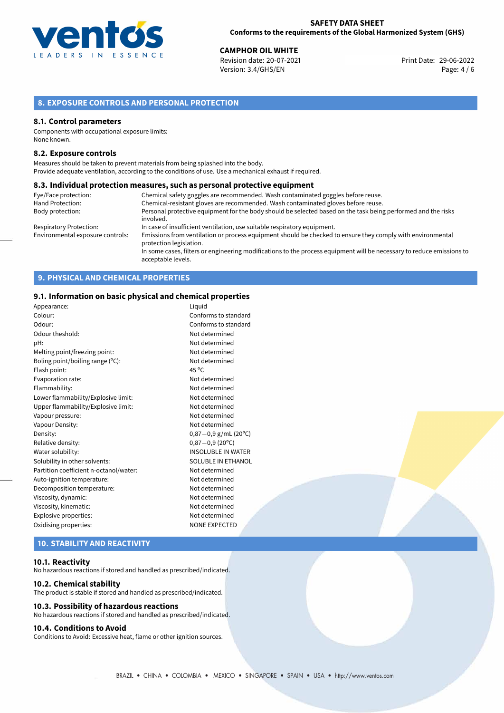

29-06-2022 **CAMPHOR OIL WHITE** Revision date: 20-07-2021 Print Date: Version: 3.4/GHS/EN Page: 4 / 6

## **8. EXPOSURE CONTROLS AND PERSONAL PROTECTION**

#### **8.1. Control parameters**

Components with occupational exposure limits: None known.

#### **8.2. Exposure controls**

Measures should be taken to prevent materials from being splashed into the body. Provide adequate ventilation, according to the conditions of use. Use a mechanical exhaust if required.

#### **8.3. Individual protection measures, such as personal protective equipment**

| Eye/Face protection:             | Chemical safety goggles are recommended. Wash contaminated goggles before reuse.                                                            |
|----------------------------------|---------------------------------------------------------------------------------------------------------------------------------------------|
| Hand Protection:                 | Chemical-resistant gloves are recommended. Wash contaminated gloves before reuse.                                                           |
| Body protection:                 | Personal protective equipment for the body should be selected based on the task being performed and the risks<br>involved.                  |
| <b>Respiratory Protection:</b>   | In case of insufficient ventilation, use suitable respiratory equipment.                                                                    |
| Environmental exposure controls: | Emissions from ventilation or process equipment should be checked to ensure they comply with environmental<br>protection legislation.       |
|                                  | In some cases, filters or engineering modifications to the process equipment will be necessary to reduce emissions to<br>acceptable levels. |

## **9. PHYSICAL AND CHEMICAL PROPERTIES**

#### **9.1. Information on basic physical and chemical properties**

| Colour:<br>Odour:<br>Odour theshold:   | Conforms to standard<br>Conforms to standard<br>Not determined<br>Not determined<br>Not determined |
|----------------------------------------|----------------------------------------------------------------------------------------------------|
|                                        |                                                                                                    |
|                                        |                                                                                                    |
|                                        |                                                                                                    |
| pH:                                    |                                                                                                    |
| Melting point/freezing point:          |                                                                                                    |
| Boling point/boiling range (°C):       | Not determined                                                                                     |
| $45^{\circ}$ C<br>Flash point:         |                                                                                                    |
| Evaporation rate:                      | Not determined                                                                                     |
| Flammability:                          | Not determined                                                                                     |
| Lower flammability/Explosive limit:    | Not determined                                                                                     |
| Upper flammability/Explosive limit:    | Not determined                                                                                     |
| Vapour pressure:                       | Not determined                                                                                     |
| Vapour Density:                        | Not determined                                                                                     |
| Density:                               | $0,87-0,9$ g/mL (20°C)                                                                             |
| Relative density:                      | $0,87-0,9(20^{\circ}C)$                                                                            |
| Water solubility:                      | INSOLUBLE IN WATER                                                                                 |
| Solubility in other solvents:          | SOLUBLE IN ETHANOL                                                                                 |
| Partition coefficient n-octanol/water: | Not determined                                                                                     |
| Auto-ignition temperature:             | Not determined                                                                                     |
| Decomposition temperature:             | Not determined                                                                                     |
| Viscosity, dynamic:                    | Not determined                                                                                     |
| Viscosity, kinematic:                  | Not determined                                                                                     |
| Explosive properties:                  | Not determined                                                                                     |
| Oxidising properties:                  | <b>NONE EXPECTED</b>                                                                               |

## **10. STABILITY AND REACTIVITY**

#### **10.1. Reactivity**

No hazardous reactions if stored and handled as prescribed/indicated.

#### **10.2. Chemical stability**

The product is stable if stored and handled as prescribed/indicated.

## **10.3. Possibility of hazardous reactions**

No hazardous reactions if stored and handled as prescribed/indicated.

#### **10.4. Conditions to Avoid**

Conditions to Avoid: Excessive heat, flame or other ignition sources.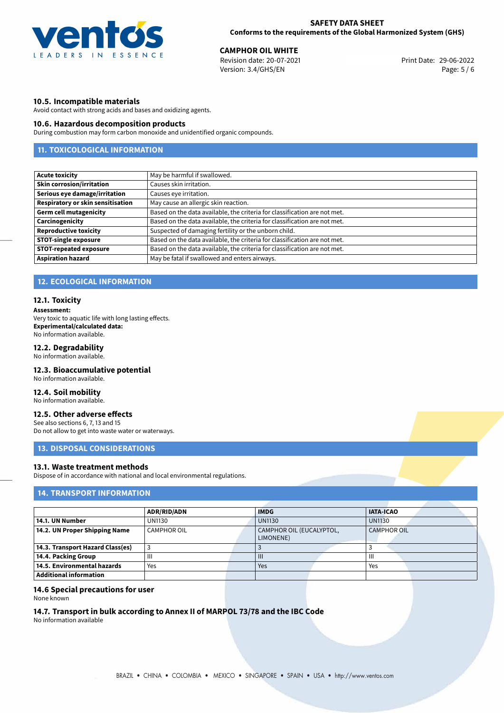

29-06-2022 **CAMPHOR OIL WHITE** Revision date: 20-07-2021 Print Date: Version: 3.4/GHS/EN Page: 5 / 6

## **10.5. Incompatible materials**

Avoid contact with strong acids and bases and oxidizing agents.

#### **10.6. Hazardous decomposition products**

During combustion may form carbon monoxide and unidentified organic compounds.

# **11. TOXICOLOGICAL INFORMATION**

| <b>Acute toxicity</b>             | May be harmful if swallowed.                                              |
|-----------------------------------|---------------------------------------------------------------------------|
| <b>Skin corrosion/irritation</b>  | Causes skin irritation.                                                   |
| Serious eye damage/irritation     | Causes eye irritation.                                                    |
| Respiratory or skin sensitisation | May cause an allergic skin reaction.                                      |
| <b>Germ cell mutagenicity</b>     | Based on the data available, the criteria for classification are not met. |
| Carcinogenicity                   | Based on the data available, the criteria for classification are not met. |
| <b>Reproductive toxicity</b>      | Suspected of damaging fertility or the unborn child.                      |
| <b>STOT-single exposure</b>       | Based on the data available, the criteria for classification are not met. |
| <b>STOT-repeated exposure</b>     | Based on the data available, the criteria for classification are not met. |
| <b>Aspiration hazard</b>          | May be fatal if swallowed and enters airways.                             |

# **12. ECOLOGICAL INFORMATION**

## **12.1. Toxicity**

**Assessment:**

Very toxic to aquatic life with long lasting effects. **Experimental/calculated data:** No information available.

## **12.2. Degradability**

No information available.

## **12.3. Bioaccumulative potential**

No information available.

## **12.4. Soil mobility**

No information available.

## **12.5. Other adverse effects**

See also sections 6, 7, 13 and 15 Do not allow to get into waste water or waterways.

## **13. DISPOSAL CONSIDERATIONS**

## **13.1. Waste treatment methods**

Dispose of in accordance with national and local environmental regulations.

## **14. TRANSPORT INFORMATION**

|                                  | <b>ADR/RID/ADN</b> |  | <b>IMDG</b>                           |  | <b>IATA-ICAO</b> |  |
|----------------------------------|--------------------|--|---------------------------------------|--|------------------|--|
| 14.1. UN Number                  | <b>UN1130</b>      |  | <b>UN1130</b>                         |  | <b>UN1130</b>    |  |
| 14.2. UN Proper Shipping Name    | <b>CAMPHOR OIL</b> |  | CAMPHOR OIL (EUCALYPTOL,<br>LIMONENE) |  | CAMPHOR OIL      |  |
| 14.3. Transport Hazard Class(es) | J.                 |  |                                       |  |                  |  |
| 14.4. Packing Group              | $\mathbf{III}$     |  | $\mathbf{III}$                        |  | Ш                |  |
| 14.5. Environmental hazards      | Yes                |  | Yes                                   |  | Yes              |  |
| <b>Additional information</b>    |                    |  |                                       |  |                  |  |

## **14.6 Special precautions for user**

None known

# **14.7. Transport in bulk according to Annex II of MARPOL 73/78 and the IBC Code**

No information available